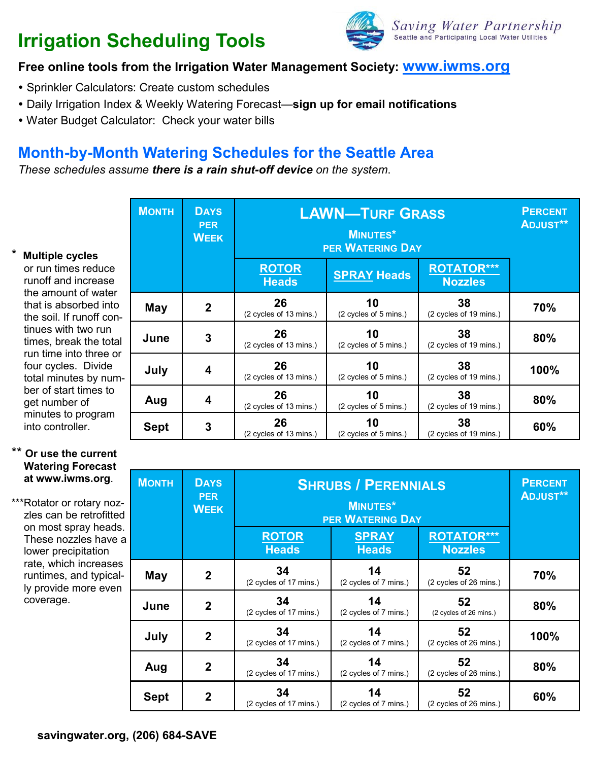# **Irrigation Scheduling Tools**



# **Free online tools from the Irrigation Water Management Society: www.iwms.org**

- Sprinkler Calculators: Create custom schedules
- Daily Irrigation Index & Weekly Watering Forecast—**sign up for email notifications**
- Water Budget Calculator: Check your water bills

# **Month-by-Month Watering Schedules for the Seattle Area**

*These schedules assume there is a rain shut-off device on the system*.

#### \* **Multiple cycles**

or run times reduce runoff and increase the amount of water that is absorbed into the soil. If runoff continues with two run times, break the total run time into three or four cycles. Divide total minutes by number of start times to get number of minutes to program into controller.

| <b>MONTH</b> | <b>DAYS</b><br><b>PER</b><br><b>WEEK</b> | <b>LAWN-TURF GRASS</b><br><b>MINUTES*</b><br><b>PER WATERING DAY</b> |                             |                                     | <b>PERCENT</b><br><b>ADJUST**</b> |
|--------------|------------------------------------------|----------------------------------------------------------------------|-----------------------------|-------------------------------------|-----------------------------------|
|              |                                          | <b>ROTOR</b><br><b>Heads</b>                                         | <b>SPRAY Heads</b>          | <b>ROTATOR***</b><br><b>Nozzles</b> |                                   |
| May          | $\mathbf 2$                              | 26<br>(2 cycles of 13 mins.)                                         | 10<br>(2 cycles of 5 mins.) | 38<br>(2 cycles of 19 mins.)        | 70%                               |
| June         | 3                                        | 26<br>(2 cycles of 13 mins.)                                         | 10<br>(2 cycles of 5 mins.) | 38<br>(2 cycles of 19 mins.)        | 80%                               |
| July         | 4                                        | 26<br>(2 cycles of 13 mins.)                                         | 10<br>(2 cycles of 5 mins.) | 38<br>(2 cycles of 19 mins.)        | 100%                              |
| Aug          | 4                                        | 26<br>(2 cycles of 13 mins.)                                         | 10<br>(2 cycles of 5 mins.) | 38<br>(2 cycles of 19 mins.)        | 80%                               |
| <b>Sept</b>  | 3                                        | 26<br>(2 cycles of 13 mins.)                                         | 10<br>(2 cycles of 5 mins.) | 38<br>(2 cycles of 19 mins.)        | 60%                               |

### \*\* **Or use the current Watering Forecast at www.iwms.org**.

\*\*\*Rotator or rotary nozzles can be retrofitted on most spray heads. These nozzles have a lower precipitation rate, which increases runtimes, and typically provide more even coverage.

| <b>MONTH</b> | <b>DAYS</b><br><b>PER</b><br><b>WEEK</b> | <b>SHRUBS / PERENNIALS</b><br><b>MINUTES*</b><br><b>PER WATERING DAY</b> |                              |                                     | <b>PERCENT</b><br><b>ADJUST**</b> |
|--------------|------------------------------------------|--------------------------------------------------------------------------|------------------------------|-------------------------------------|-----------------------------------|
|              |                                          | <b>ROTOR</b><br><b>Heads</b>                                             | <b>SPRAY</b><br><b>Heads</b> | <b>ROTATOR***</b><br><b>Nozzles</b> |                                   |
| May          | $\boldsymbol{2}$                         | 34<br>(2 cycles of 17 mins.)                                             | 14<br>(2 cycles of 7 mins.)  | 52<br>(2 cycles of 26 mins.)        | 70%                               |
| June         | $\mathbf 2$                              | 34<br>(2 cycles of 17 mins.)                                             | 14<br>(2 cycles of 7 mins.)  | 52<br>(2 cycles of 26 mins.)        | 80%                               |
| July         | $\mathbf{2}$                             | 34<br>(2 cycles of 17 mins.)                                             | 14<br>(2 cycles of 7 mins.)  | 52<br>(2 cycles of 26 mins.)        | 100%                              |
| Aug          | $\mathbf{2}$                             | 34<br>(2 cycles of 17 mins.)                                             | 14<br>(2 cycles of 7 mins.)  | 52<br>(2 cycles of 26 mins.)        | 80%                               |
| <b>Sept</b>  | $\mathbf 2$                              | 34<br>(2 cycles of 17 mins.)                                             | 14<br>(2 cycles of 7 mins.)  | 52<br>(2 cycles of 26 mins.)        | 60%                               |